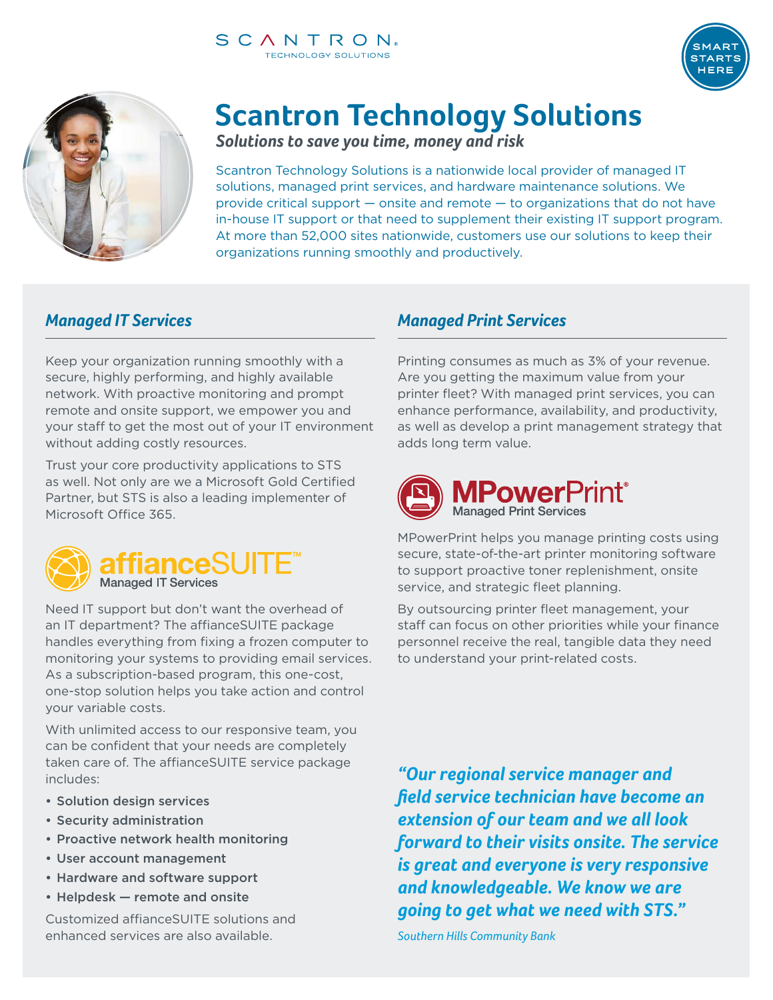

# **Scantron Technology Solutions**

*Solutions to save you time, money and risk*

Scantron Technology Solutions is a nationwide local provider of managed IT solutions, managed print services, and hardware maintenance solutions. We provide critical support — onsite and remote — to organizations that do not have in-house IT support or that need to supplement their existing IT support program. At more than 52,000 sites nationwide, customers use our solutions to keep their organizations running smoothly and productively.

## *Managed IT Services*

Keep your organization running smoothly with a secure, highly performing, and highly available network. With proactive monitoring and prompt remote and onsite support, we empower you and your staff to get the most out of your IT environment without adding costly resources.

Trust your core productivity applications to STS as well. Not only are we a Microsoft Gold Certified Partner, but STS is also a leading implementer of Microsoft Office 365.



Need IT support but don't want the overhead of an IT department? The affianceSUITE package handles everything from fixing a frozen computer to monitoring your systems to providing email services. As a subscription-based program, this one-cost, one-stop solution helps you take action and control your variable costs.

With unlimited access to our responsive team, you can be confident that your needs are completely taken care of. The affianceSUITE service package includes:

- Solution design services
- Security administration
- Proactive network health monitoring
- User account management
- Hardware and software support
- Helpdesk remote and onsite

Customized affianceSUITE solutions and enhanced services are also available.

## *Managed Print Services*

Printing consumes as much as 3% of your revenue. Are you getting the maximum value from your printer fleet? With managed print services, you can enhance performance, availability, and productivity, as well as develop a print management strategy that adds long term value.



MPowerPrint helps you manage printing costs using secure, state-of-the-art printer monitoring software to support proactive toner replenishment, onsite service, and strategic fleet planning.

By outsourcing printer fleet management, your staff can focus on other priorities while your finance personnel receive the real, tangible data they need to understand your print-related costs.

*"Our regional service manager and field service technician have become an extension of our team and we all look forward to their visits onsite. The service is great and everyone is very responsive and knowledgeable. We know we are going to get what we need with STS."* 

*Southern Hills Community Bank*